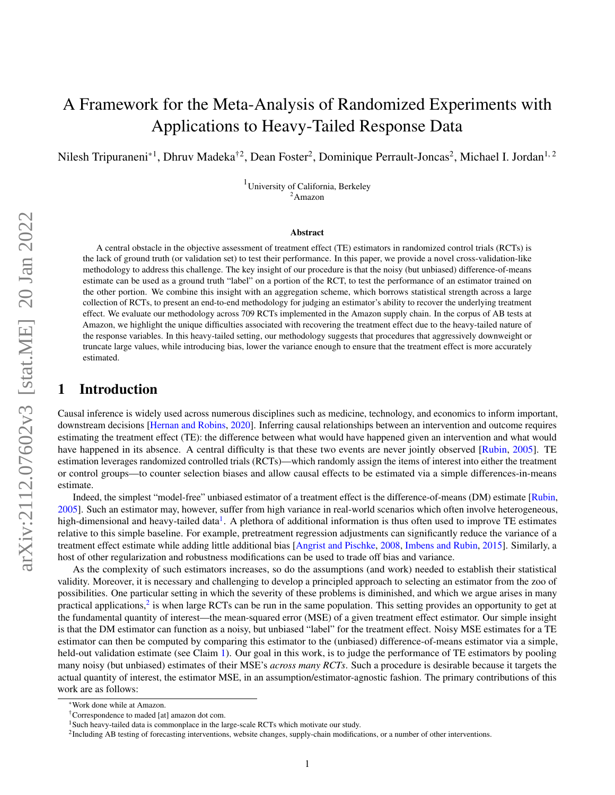# A Framework for the Meta-Analysis of Randomized Experiments with Applications to Heavy-Tailed Response Data

Nilesh Tripuraneni<sup>\*1</sup>, Dhruv Madeka<sup>†2</sup>, Dean Foster<sup>2</sup>, Dominique Perrault-Joncas<sup>2</sup>, Michael I. Jordan<sup>1, 2</sup>

<sup>1</sup>University of California, Berkeley <sup>2</sup>Amazon

#### Abstract

A central obstacle in the objective assessment of treatment effect (TE) estimators in randomized control trials (RCTs) is the lack of ground truth (or validation set) to test their performance. In this paper, we provide a novel cross-validation-like methodology to address this challenge. The key insight of our procedure is that the noisy (but unbiased) difference-of-means estimate can be used as a ground truth "label" on a portion of the RCT, to test the performance of an estimator trained on the other portion. We combine this insight with an aggregation scheme, which borrows statistical strength across a large collection of RCTs, to present an end-to-end methodology for judging an estimator's ability to recover the underlying treatment effect. We evaluate our methodology across 709 RCTs implemented in the Amazon supply chain. In the corpus of AB tests at Amazon, we highlight the unique difficulties associated with recovering the treatment effect due to the heavy-tailed nature of the response variables. In this heavy-tailed setting, our methodology suggests that procedures that aggressively downweight or truncate large values, while introducing bias, lower the variance enough to ensure that the treatment effect is more accurately estimated.

## 1 Introduction

Causal inference is widely used across numerous disciplines such as medicine, technology, and economics to inform important, downstream decisions [\[Hernan and Robins,](#page-8-0) [2020\]](#page-8-0). Inferring causal relationships between an intervention and outcome requires estimating the treatment effect (TE): the difference between what would have happened given an intervention and what would have happened in its absence. A central difficulty is that these two events are never jointly observed [\[Rubin,](#page-8-1) [2005\]](#page-8-1). TE estimation leverages randomized controlled trials (RCTs)—which randomly assign the items of interest into either the treatment or control groups—to counter selection biases and allow causal effects to be estimated via a simple differences-in-means estimate.

Indeed, the simplest "model-free" unbiased estimator of a treatment effect is the difference-of-means (DM) estimate [\[Rubin,](#page-8-1) [2005\]](#page-8-1). Such an estimator may, however, suffer from high variance in real-world scenarios which often involve heterogeneous, high-dimensional and heavy-tailed data<sup>[1](#page-0-0)</sup>. A plethora of additional information is thus often used to improve TE estimates relative to this simple baseline. For example, pretreatment regression adjustments can significantly reduce the variance of a treatment effect estimate while adding little additional bias [\[Angrist and Pischke,](#page-8-2) [2008,](#page-8-2) [Imbens and Rubin,](#page-8-3) [2015\]](#page-8-3). Similarly, a host of other regularization and robustness modifications can be used to trade off bias and variance.

As the complexity of such estimators increases, so do the assumptions (and work) needed to establish their statistical validity. Moreover, it is necessary and challenging to develop a principled approach to selecting an estimator from the zoo of possibilities. One particular setting in which the severity of these problems is diminished, and which we argue arises in many practical applications,<sup>[2](#page-0-1)</sup> is when large RCTs can be run in the same population. This setting provides an opportunity to get at the fundamental quantity of interest—the mean-squared error (MSE) of a given treatment effect estimator. Our simple insight is that the DM estimator can function as a noisy, but unbiased "label" for the treatment effect. Noisy MSE estimates for a TE estimator can then be computed by comparing this estimator to the (unbiased) difference-of-means estimator via a simple, held-out validation estimate (see Claim [1\)](#page-3-0). Our goal in this work, is to judge the performance of TE estimators by pooling many noisy (but unbiased) estimates of their MSE's *across many RCTs*. Such a procedure is desirable because it targets the actual quantity of interest, the estimator MSE, in an assumption/estimator-agnostic fashion. The primary contributions of this work are as follows:

<sup>\*</sup>Work done while at Amazon.

<sup>†</sup>Correspondence to maded [at] amazon dot com.

<span id="page-0-0"></span><sup>&</sup>lt;sup>1</sup>Such heavy-tailed data is commonplace in the large-scale RCTs which motivate our study.

<span id="page-0-1"></span><sup>&</sup>lt;sup>2</sup>Including AB testing of forecasting interventions, website changes, supply-chain modifications, or a number of other interventions.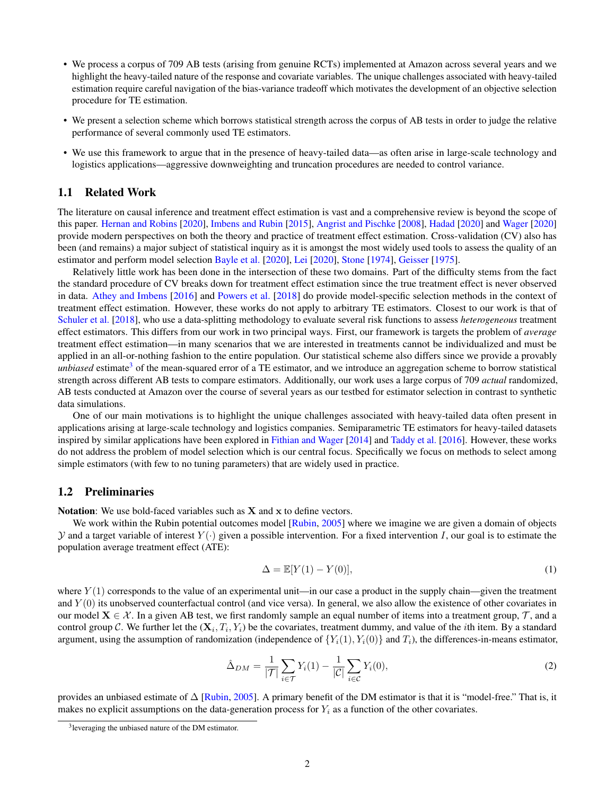- We process a corpus of 709 AB tests (arising from genuine RCTs) implemented at Amazon across several years and we highlight the heavy-tailed nature of the response and covariate variables. The unique challenges associated with heavy-tailed estimation require careful navigation of the bias-variance tradeoff which motivates the development of an objective selection procedure for TE estimation.
- We present a selection scheme which borrows statistical strength across the corpus of AB tests in order to judge the relative performance of several commonly used TE estimators.
- We use this framework to argue that in the presence of heavy-tailed data—as often arise in large-scale technology and logistics applications—aggressive downweighting and truncation procedures are needed to control variance.

### 1.1 Related Work

The literature on causal inference and treatment effect estimation is vast and a comprehensive review is beyond the scope of this paper. [Hernan and Robins](#page-8-0) [\[2020\]](#page-8-0), [Imbens and Rubin](#page-8-3) [\[2015\]](#page-8-3), [Angrist and Pischke](#page-8-2) [\[2008\]](#page-8-2), [Hadad](#page-8-4) [\[2020\]](#page-8-4) and [Wager](#page-8-5) [\[2020\]](#page-8-5) provide modern perspectives on both the theory and practice of treatment effect estimation. Cross-validation (CV) also has been (and remains) a major subject of statistical inquiry as it is amongst the most widely used tools to assess the quality of an estimator and perform model selection [Bayle et al.](#page-8-6) [\[2020\]](#page-8-6), [Lei](#page-8-7) [\[2020\]](#page-8-7), [Stone](#page-8-8) [\[1974\]](#page-8-8), [Geisser](#page-8-9) [\[1975\]](#page-8-9).

Relatively little work has been done in the intersection of these two domains. Part of the difficulty stems from the fact the standard procedure of CV breaks down for treatment effect estimation since the true treatment effect is never observed in data. [Athey and Imbens](#page-8-10) [\[2016\]](#page-8-10) and [Powers et al.](#page-8-11) [\[2018\]](#page-8-11) do provide model-specific selection methods in the context of treatment effect estimation. However, these works do not apply to arbitrary TE estimators. Closest to our work is that of [Schuler et al.](#page-8-12) [\[2018\]](#page-8-12), who use a data-splitting methodology to evaluate several risk functions to assess *heterogeneous* treatment effect estimators. This differs from our work in two principal ways. First, our framework is targets the problem of *average* treatment effect estimation—in many scenarios that we are interested in treatments cannot be individualized and must be applied in an all-or-nothing fashion to the entire population. Our statistical scheme also differs since we provide a provably *unbiased* estimate<sup>[3](#page-1-0)</sup> of the mean-squared error of a TE estimator, and we introduce an aggregation scheme to borrow statistical strength across different AB tests to compare estimators. Additionally, our work uses a large corpus of 709 *actual* randomized, AB tests conducted at Amazon over the course of several years as our testbed for estimator selection in contrast to synthetic data simulations.

One of our main motivations is to highlight the unique challenges associated with heavy-tailed data often present in applications arising at large-scale technology and logistics companies. Semiparametric TE estimators for heavy-tailed datasets inspired by similar applications have been explored in [Fithian and Wager](#page-8-13) [\[2014\]](#page-8-13) and [Taddy et al.](#page-8-14) [\[2016\]](#page-8-14). However, these works do not address the problem of model selection which is our central focus. Specifically we focus on methods to select among simple estimators (with few to no tuning parameters) that are widely used in practice.

### 1.2 Preliminaries

Notation: We use bold-faced variables such as  $X$  and  $x$  to define vectors.

We work within the Rubin potential outcomes model [\[Rubin,](#page-8-1) [2005\]](#page-8-1) where we imagine we are given a domain of objects y and a target variable of interest  $Y(\cdot)$  given a possible intervention. For a fixed intervention I, our goal is to estimate the population average treatment effect (ATE):

<span id="page-1-2"></span><span id="page-1-1"></span>
$$
\Delta = \mathbb{E}[Y(1) - Y(0)],\tag{1}
$$

where  $Y(1)$  corresponds to the value of an experimental unit—in our case a product in the supply chain—given the treatment and  $Y(0)$  its unobserved counterfactual control (and vice versa). In general, we also allow the existence of other covariates in our model  $X \in \mathcal{X}$ . In a given AB test, we first randomly sample an equal number of items into a treatment group,  $\mathcal{T}$ , and a control group C. We further let the  $(X_i, T_i, Y_i)$  be the covariates, treatment dummy, and value of the *i*th item. By a standard argument, using the assumption of randomization (independence of  $\{Y_i(1), Y_i(0)\}$  and  $T_i$ ), the differences-in-means estimator,

$$
\hat{\Delta}_{DM} = \frac{1}{|\mathcal{T}|} \sum_{i \in \mathcal{T}} Y_i(1) - \frac{1}{|\mathcal{C}|} \sum_{i \in \mathcal{C}} Y_i(0),\tag{2}
$$

provides an unbiased estimate of  $\Delta$  [\[Rubin,](#page-8-1) [2005\]](#page-8-1). A primary benefit of the DM estimator is that it is "model-free." That is, it makes no explicit assumptions on the data-generation process for  $Y_i$  as a function of the other covariates.

<span id="page-1-0"></span><sup>&</sup>lt;sup>3</sup>leveraging the unbiased nature of the DM estimator.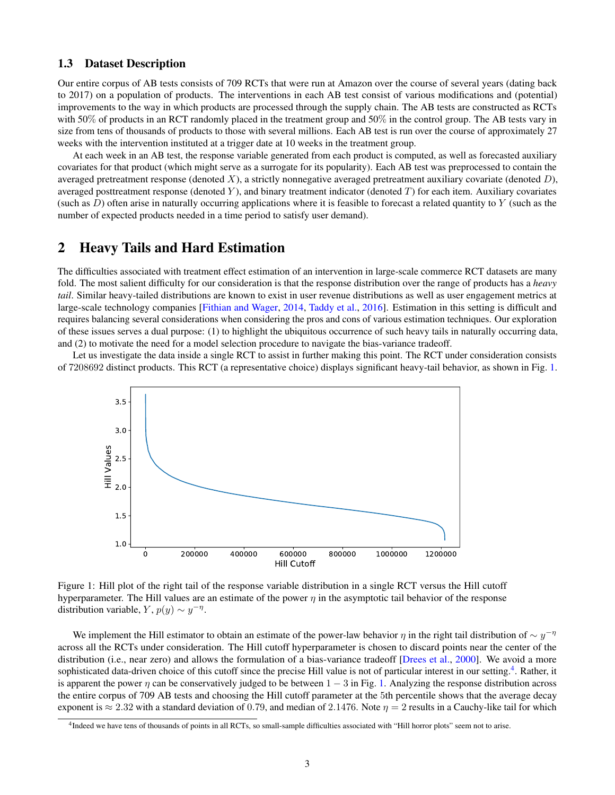### <span id="page-2-2"></span>1.3 Dataset Description

Our entire corpus of AB tests consists of 709 RCTs that were run at Amazon over the course of several years (dating back to 2017) on a population of products. The interventions in each AB test consist of various modifications and (potential) improvements to the way in which products are processed through the supply chain. The AB tests are constructed as RCTs with 50% of products in an RCT randomly placed in the treatment group and 50% in the control group. The AB tests vary in size from tens of thousands of products to those with several millions. Each AB test is run over the course of approximately 27 weeks with the intervention instituted at a trigger date at 10 weeks in the treatment group.

At each week in an AB test, the response variable generated from each product is computed, as well as forecasted auxiliary covariates for that product (which might serve as a surrogate for its popularity). Each AB test was preprocessed to contain the averaged pretreatment response (denoted X), a strictly nonnegative averaged pretreatment auxiliary covariate (denoted  $D$ ), averaged posttreatment response (denoted  $Y$ ), and binary treatment indicator (denoted  $T$ ) for each item. Auxiliary covariates (such as  $D$ ) often arise in naturally occurring applications where it is feasible to forecast a related quantity to  $Y$  (such as the number of expected products needed in a time period to satisfy user demand).

# 2 Heavy Tails and Hard Estimation

The difficulties associated with treatment effect estimation of an intervention in large-scale commerce RCT datasets are many fold. The most salient difficulty for our consideration is that the response distribution over the range of products has a *heavy tail*. Similar heavy-tailed distributions are known to exist in user revenue distributions as well as user engagement metrics at large-scale technology companies [\[Fithian and Wager,](#page-8-13) [2014,](#page-8-13) [Taddy et al.,](#page-8-14) [2016\]](#page-8-14). Estimation in this setting is difficult and requires balancing several considerations when considering the pros and cons of various estimation techniques. Our exploration of these issues serves a dual purpose: (1) to highlight the ubiquitous occurrence of such heavy tails in naturally occurring data, and (2) to motivate the need for a model selection procedure to navigate the bias-variance tradeoff.

<span id="page-2-0"></span>Let us investigate the data inside a single RCT to assist in further making this point. The RCT under consideration consists of 7208692 distinct products. This RCT (a representative choice) displays significant heavy-tail behavior, as shown in Fig. [1.](#page-2-0)



Figure 1: Hill plot of the right tail of the response variable distribution in a single RCT versus the Hill cutoff hyperparameter. The Hill values are an estimate of the power  $\eta$  in the asymptotic tail behavior of the response distribution variable,  $Y$ ,  $p(y) \sim y^{-\eta}$ .

We implement the Hill estimator to obtain an estimate of the power-law behavior  $\eta$  in the right tail distribution of  $\sim y^{-\eta}$ across all the RCTs under consideration. The Hill cutoff hyperparameter is chosen to discard points near the center of the distribution (i.e., near zero) and allows the formulation of a bias-variance tradeoff [\[Drees et al.,](#page-8-15) [2000\]](#page-8-15). We avoid a more sophisticated data-driven choice of this cutoff since the precise Hill value is not of particular interest in our setting.<sup>[4](#page-2-1)</sup>. Rather, it is apparent the power  $\eta$  can be conservatively judged to be between  $1 - 3$  in Fig. [1.](#page-2-0) Analyzing the response distribution across the entire corpus of 709 AB tests and choosing the Hill cutoff parameter at the 5th percentile shows that the average decay exponent is  $\approx 2.32$  with a standard deviation of 0.79, and median of 2.1476. Note  $\eta = 2$  results in a Cauchy-like tail for which

<span id="page-2-1"></span><sup>&</sup>lt;sup>4</sup> Indeed we have tens of thousands of points in all RCTs, so small-sample difficulties associated with "Hill horror plots" seem not to arise.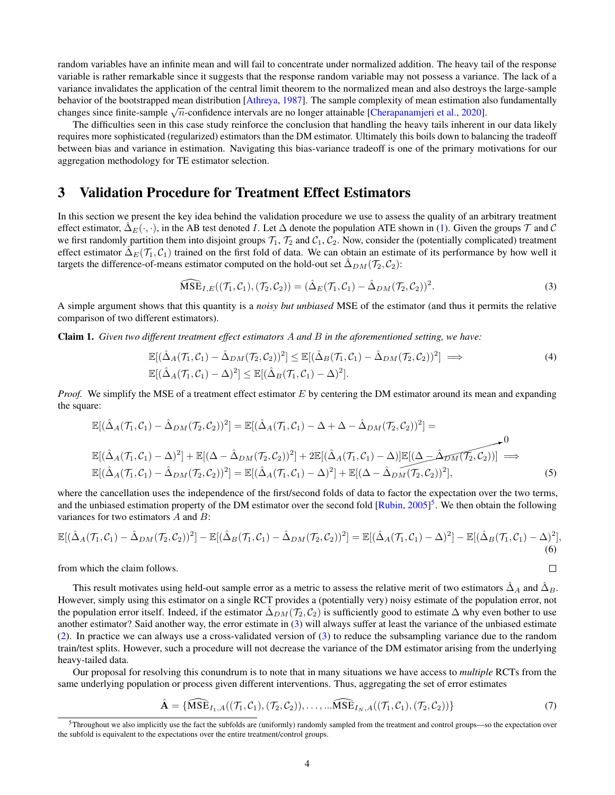random variables have an infinite mean and will fail to concentrate under normalized addition. The heavy tail of the response variable is rather remarkable since it suggests that the response random variable may not possess a variance. The lack of a variance invalidates the application of the central limit theorem to the normalized mean and also destroys the large-sample behavior of the bootstrapped mean distribution [\[Athreya,](#page-8-16) [1987\]](#page-8-16). The sample complexity of mean estimation also fundamentally behavior of the bootstrapped mean distribution [Attheya, 1987]. The sample complexity of mean estimation a<br>changes since finite-sample  $\sqrt{n}$ -confidence intervals are no longer attainable [\[Cherapanamjeri et al.,](#page-8-17) [2020\]](#page-8-17).

The difficulties seen in this case study reinforce the conclusion that handling the heavy tails inherent in our data likely requires more sophisticated (regularized) estimators than the DM estimator. Ultimately this boils down to balancing the tradeoff between bias and variance in estimation. Navigating this bias-variance tradeoff is one of the primary motivations for our aggregation methodology for TE estimator selection.

## <span id="page-3-4"></span>3 Validation Procedure for Treatment Effect Estimators

In this section we present the key idea behind the validation procedure we use to assess the quality of an arbitrary treatment effect estimator,  $\Delta_E(\cdot, \cdot)$ , in the AB test denoted I. Let  $\Delta$  denote the population ATE shown in [\(1\)](#page-1-1). Given the groups  $\mathcal T$  and  $\mathcal C$ we first randomly partition them into disjoint groups  $\mathcal{T}_1$ ,  $\mathcal{T}_2$  and  $\mathcal{C}_1$ ,  $\mathcal{C}_2$ . Now, consider the (potentially complicated) treatment effect estimator  $\Delta_E(\mathcal{T}_1, \mathcal{C}_1)$  trained on the first fold of data. We can obtain an estimate of its performance by how well it targets the difference-of-means estimator computed on the hold-out set  $\hat{\Delta}_{DM}(\mathcal{T}_2, \mathcal{C}_2)$ :

$$
\widehat{\text{MSE}}_{I,E}((\mathcal{T}_1,\mathcal{C}_1),(\mathcal{T}_2,\mathcal{C}_2)) = (\hat{\Delta}_E(\mathcal{T}_1,\mathcal{C}_1) - \hat{\Delta}_{DM}(\mathcal{T}_2,\mathcal{C}_2))^2. \tag{3}
$$

A simple argument shows that this quantity is a *noisy but unbiased* MSE of the estimator (and thus it permits the relative comparison of two different estimators).

<span id="page-3-0"></span>Claim 1. *Given two different treatment effect estimators* A *and* B *in the aforementioned setting, we have:*

$$
\mathbb{E}[(\hat{\Delta}_A(\mathcal{T}_1, C_1) - \hat{\Delta}_{DM}(\mathcal{T}_2, C_2))^2] \leq \mathbb{E}[(\hat{\Delta}_B(\mathcal{T}_1, C_1) - \hat{\Delta}_{DM}(\mathcal{T}_2, C_2))^2] \implies (4)
$$
  

$$
\mathbb{E}[(\hat{\Delta}_A(\mathcal{T}_1, C_1) - \Delta)^2] \leq \mathbb{E}[(\hat{\Delta}_B(\mathcal{T}_1, C_1) - \Delta)^2].
$$

*Proof.* We simplify the MSE of a treatment effect estimator E by centering the DM estimator around its mean and expanding the square:

$$
\mathbb{E}[(\hat{\Delta}_A(\mathcal{T}_1, C_1) - \hat{\Delta}_{DM}(\mathcal{T}_2, C_2))^2] = \mathbb{E}[(\hat{\Delta}_A(\mathcal{T}_1, C_1) - \Delta + \Delta - \hat{\Delta}_{DM}(\mathcal{T}_2, C_2))^2] =
$$
\n
$$
\mathbb{E}[(\hat{\Delta}_A(\mathcal{T}_1, C_1) - \Delta)^2] + \mathbb{E}[(\Delta - \hat{\Delta}_{DM}(\mathcal{T}_2, C_2))^2] + 2\mathbb{E}[(\hat{\Delta}_A(\mathcal{T}_1, C_1) - \Delta)]\mathbb{E}[(\Delta - \hat{\Delta}_{DM}(\mathcal{T}_2, C_2))] \implies 0
$$
\n
$$
\mathbb{E}[(\hat{\Delta}_A(\mathcal{T}_1, C_1) - \hat{\Delta}_{DM}(\mathcal{T}_2, C_2))^2] = \mathbb{E}[(\hat{\Delta}_A(\mathcal{T}_1, C_1) - \Delta)^2] + \mathbb{E}[(\Delta - \hat{\Delta}_{DM}(\mathcal{T}_2, C_2))^2], \tag{5}
$$

where the cancellation uses the independence of the first/second folds of data to factor the expectation over the two terms, and the unbiased estimation property of the DM estimator over the second fold [\[Rubin,](#page-8-1) [2005\]](#page-8-1)<sup>[5](#page-3-1)</sup>. We then obtain the following variances for two estimators A and B:

$$
\mathbb{E}[(\hat{\Delta}_A(\mathcal{T}_1,\mathcal{C}_1) - \hat{\Delta}_{DM}(\mathcal{T}_2,\mathcal{C}_2))^2] - \mathbb{E}[(\hat{\Delta}_B(\mathcal{T}_1,\mathcal{C}_1) - \hat{\Delta}_{DM}(\mathcal{T}_2,\mathcal{C}_2))^2] = \mathbb{E}[(\hat{\Delta}_A(\mathcal{T}_1,\mathcal{C}_1) - \Delta)^2] - \mathbb{E}[(\hat{\Delta}_B(\mathcal{T}_1,\mathcal{C}_1) - \Delta)^2],
$$
\n(6)

from which the claim follows.

This result motivates using held-out sample error as a metric to assess the relative merit of two estimators  $\Delta_A$  and  $\Delta_B$ . However, simply using this estimator on a single RCT provides a (potentially very) noisy estimate of the population error, not the population error itself. Indeed, if the estimator  $\hat{\Delta}_{DM}(\mathcal{T}_2, \mathcal{C}_2)$  is sufficiently good to estimate  $\Delta$  why even bother to use another estimator? Said another way, the error estimate in [\(3\)](#page-3-2) will always suffer at least the variance of the unbiased estimate [\(2\)](#page-1-2). In practice we can always use a cross-validated version of [\(3\)](#page-3-2) to reduce the subsampling variance due to the random train/test splits. However, such a procedure will not decrease the variance of the DM estimator arising from the underlying heavy-tailed data.

Our proposal for resolving this conundrum is to note that in many situations we have access to *multiple* RCTs from the same underlying population or process given different interventions. Thus, aggregating the set of error estimates

$$
\hat{\mathbf{A}} = \{\widehat{\text{MSE}}_{I_1, A}((\mathcal{T}_1, C_1), (\mathcal{T}_2, C_2)), \dots, \widehat{\text{MSE}}_{I_N, A}((\mathcal{T}_1, C_1), (\mathcal{T}_2, C_2))\}
$$
(7)

<span id="page-3-3"></span><span id="page-3-2"></span> $\Box$ 

<span id="page-3-1"></span> $5$ Throughout we also implicitly use the fact the subfolds are (uniformly) randomly sampled from the treatment and control groups—so the expectation over the subfold is equivalent to the expectations over the entire treatment/control groups.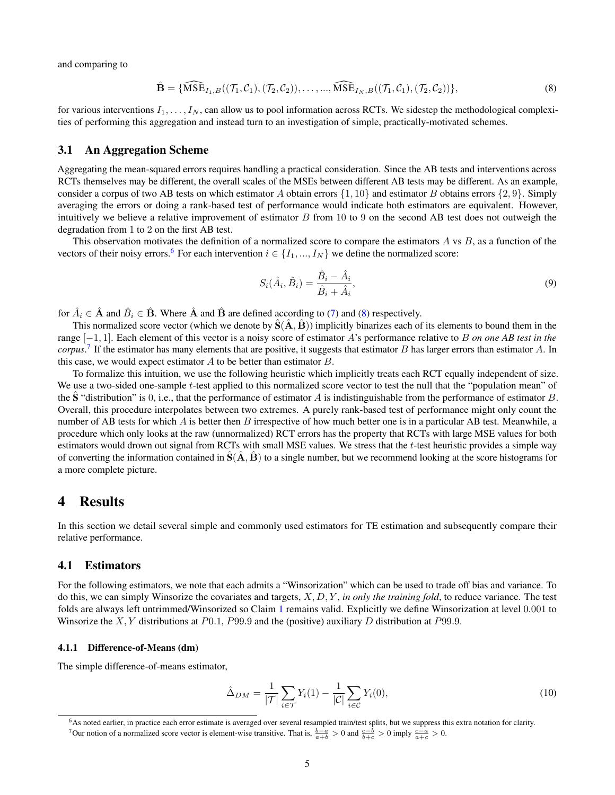and comparing to

$$
\hat{\mathbf{B}} = \{\widehat{\text{MSE}}_{I_1, B}((\mathcal{T}_1, C_1), (\mathcal{T}_2, C_2)), \dots, \dots, \widehat{\text{MSE}}_{I_N, B}((\mathcal{T}_1, C_1), (\mathcal{T}_2, C_2))\},\tag{8}
$$

for various interventions  $I_1, \ldots, I_N$ , can allow us to pool information across RCTs. We sidestep the methodological complexities of performing this aggregation and instead turn to an investigation of simple, practically-motivated schemes.

#### <span id="page-4-4"></span>3.1 An Aggregation Scheme

Aggregating the mean-squared errors requires handling a practical consideration. Since the AB tests and interventions across RCTs themselves may be different, the overall scales of the MSEs between different AB tests may be different. As an example, consider a corpus of two AB tests on which estimator A obtain errors  $\{1, 10\}$  and estimator B obtains errors  $\{2, 9\}$ . Simply averaging the errors or doing a rank-based test of performance would indicate both estimators are equivalent. However, intuitively we believe a relative improvement of estimator  $B$  from 10 to 9 on the second AB test does not outweigh the degradation from 1 to 2 on the first AB test.

This observation motivates the definition of a normalized score to compare the estimators  $A$  vs  $B$ , as a function of the vectors of their noisy errors.<sup>[6](#page-4-0)</sup> For each intervention  $i \in \{I_1, ..., I_N\}$  we define the normalized score:

<span id="page-4-1"></span>
$$
S_i(\hat{A}_i, \hat{B}_i) = \frac{\hat{B}_i - \hat{A}_i}{\hat{B}_i + \hat{A}_i},\tag{9}
$$

for  $\hat{A}_i \in \hat{\mathbf{A}}$  and  $\hat{B}_i \in \hat{\mathbf{B}}$ . Where  $\hat{\mathbf{A}}$  and  $\hat{\mathbf{B}}$  are defined according to [\(7\)](#page-3-3) and [\(8\)](#page-4-1) respectively.

This normalized score vector (which we denote by  $S(\overline{A}, \overline{B})$ ) implicitly binarizes each of its elements to bound them in the range [−1, 1]. Each element of this vector is a noisy score of estimator A's performance relative to B *on one AB test in the corpus*. [7](#page-4-2) If the estimator has many elements that are positive, it suggests that estimator B has larger errors than estimator A. In this case, we would expect estimator  $A$  to be better than estimator  $B$ .

To formalize this intuition, we use the following heuristic which implicitly treats each RCT equally independent of size. We use a two-sided one-sample t-test applied to this normalized score vector to test the null that the "population mean" of the S "distribution" is 0, i.e., that the performance of estimator A is indistinguishable from the performance of estimator B. Overall, this procedure interpolates between two extremes. A purely rank-based test of performance might only count the number of AB tests for which A is better then B irrespective of how much better one is in a particular AB test. Meanwhile, a procedure which only looks at the raw (unnormalized) RCT errors has the property that RCTs with large MSE values for both estimators would drown out signal from RCTs with small MSE values. We stress that the t-test heuristic provides a simple way of converting the information contained in  $\hat{S}(A, \hat{B})$  to a single number, but we recommend looking at the score histograms for a more complete picture.

### 4 Results

In this section we detail several simple and commonly used estimators for TE estimation and subsequently compare their relative performance.

#### 4.1 Estimators

For the following estimators, we note that each admits a "Winsorization" which can be used to trade off bias and variance. To do this, we can simply Winsorize the covariates and targets, X, D, Y , *in only the training fold*, to reduce variance. The test folds are always left untrimmed/Winsorized so Claim [1](#page-3-0) remains valid. Explicitly we define Winsorization at level 0.001 to Winsorize the X, Y distributions at  $P0.1$ ,  $P99.9$  and the (positive) auxiliary D distribution at P99.9.

#### 4.1.1 Difference-of-Means (dm)

The simple difference-of-means estimator,

<span id="page-4-3"></span>
$$
\hat{\Delta}_{DM} = \frac{1}{|\mathcal{T}|} \sum_{i \in \mathcal{T}} Y_i(1) - \frac{1}{|\mathcal{C}|} \sum_{i \in \mathcal{C}} Y_i(0),\tag{10}
$$

<span id="page-4-0"></span><sup>&</sup>lt;sup>6</sup>As noted earlier, in practice each error estimate is averaged over several resampled train/test splits, but we suppress this extra notation for clarity.

<span id="page-4-2"></span><sup>7</sup> Our notion of a normalized score vector is element-wise transitive. That is,  $\frac{b-a}{a+b} > 0$  and  $\frac{c-b}{b+c} > 0$  imply  $\frac{c-a}{a+c} > 0$ .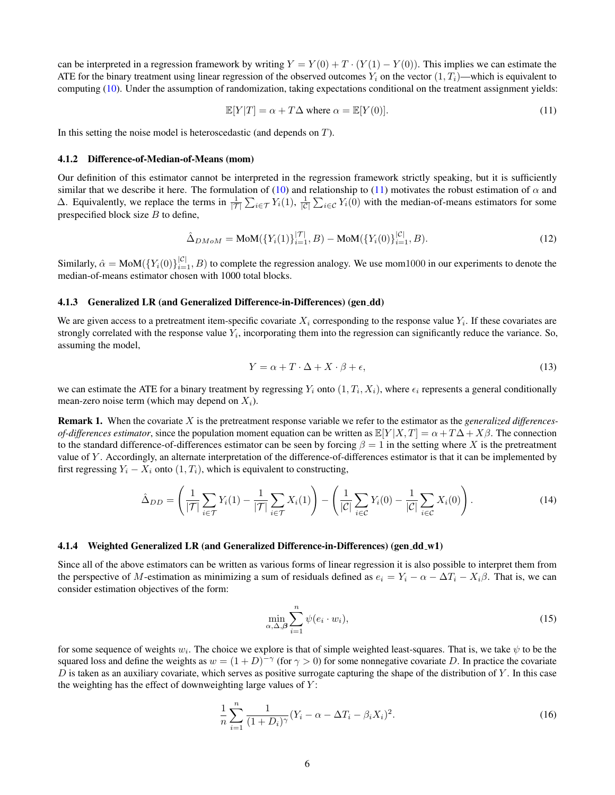can be interpreted in a regression framework by writing  $Y = Y(0) + T \cdot (Y(1) - Y(0))$ . This implies we can estimate the ATE for the binary treatment using linear regression of the observed outcomes  $Y_i$  on the vector  $(1, T_i)$ —which is equivalent to computing [\(10\)](#page-4-3). Under the assumption of randomization, taking expectations conditional on the treatment assignment yields:

<span id="page-5-0"></span>
$$
\mathbb{E}[Y|T] = \alpha + T\Delta \text{ where } \alpha = \mathbb{E}[Y(0)].\tag{11}
$$

In this setting the noise model is heteroscedastic (and depends on  $T$ ).

#### 4.1.2 Difference-of-Median-of-Means (mom)

Our definition of this estimator cannot be interpreted in the regression framework strictly speaking, but it is sufficiently similar that we describe it here. The formulation of [\(10\)](#page-4-3) and relationship to [\(11\)](#page-5-0) motivates the robust estimation of  $\alpha$  and Δ. Equivalently, we replace the terms in  $\frac{1}{|T|}$   $\sum_{i \in T} Y_i(1)$ ,  $\frac{1}{|C|}$   $\sum_{i \in C} Y_i(0)$  with the median-of-means estimators for some prespecified block size  $B$  to define,

$$
\hat{\Delta}_{DMoM} = \text{MoM}(\{Y_i(1)\}_{i=1}^{|\mathcal{T}|}, B) - \text{MoM}(\{Y_i(0)\}_{i=1}^{|\mathcal{C}|}, B). \tag{12}
$$

Similarly,  $\hat{\alpha} = \text{MoM}(\{Y_i(0)\}_{i=1}^{|\mathcal{C}|}, B)$  to complete the regression analogy. We use mom1000 in our experiments to denote the median-of-means estimator chosen with 1000 total blocks.

#### 4.1.3 Generalized LR (and Generalized Difference-in-Differences) (gen dd)

We are given access to a pretreatment item-specific covariate  $X_i$  corresponding to the response value  $Y_i$ . If these covariates are strongly correlated with the response value  $Y_i$ , incorporating them into the regression can significantly reduce the variance. So, assuming the model,

$$
Y = \alpha + T \cdot \Delta + X \cdot \beta + \epsilon,\tag{13}
$$

we can estimate the ATE for a binary treatment by regressing  $Y_i$  onto  $(1, T_i, X_i)$ , where  $\epsilon_i$  represents a general conditionally mean-zero noise term (which may depend on  $X_i$ ).

Remark 1. When the covariate X is the pretreatment response variable we refer to the estimator as the *generalized differencesof-differences estimator*, since the population moment equation can be written as  $\mathbb{E}[Y|X,T] = \alpha + T\Delta + X\beta$ . The connection to the standard difference-of-differences estimator can be seen by forcing  $\beta = 1$  in the setting where X is the pretreatment value of Y . Accordingly, an alternate interpretation of the difference-of-differences estimator is that it can be implemented by first regressing  $Y_i - X_i$  onto  $(1, T_i)$ , which is equivalent to constructing,

$$
\hat{\Delta}_{DD} = \left(\frac{1}{|\mathcal{T}|} \sum_{i \in \mathcal{T}} Y_i(1) - \frac{1}{|\mathcal{T}|} \sum_{i \in \mathcal{T}} X_i(1)\right) - \left(\frac{1}{|\mathcal{C}|} \sum_{i \in \mathcal{C}} Y_i(0) - \frac{1}{|\mathcal{C}|} \sum_{i \in \mathcal{C}} X_i(0)\right). \tag{14}
$$

### 4.1.4 Weighted Generalized LR (and Generalized Difference-in-Differences) (gen\_dd\_w1)

Since all of the above estimators can be written as various forms of linear regression it is also possible to interpret them from the perspective of M-estimation as minimizing a sum of residuals defined as  $e_i = Y_i - \alpha - \Delta T_i - X_i\beta$ . That is, we can consider estimation objectives of the form:

$$
\min_{\alpha,\Delta,\beta} \sum_{i=1}^{n} \psi(e_i \cdot w_i),\tag{15}
$$

for some sequence of weights  $w_i$ . The choice we explore is that of simple weighted least-squares. That is, we take  $\psi$  to be the squared loss and define the weights as  $w = (1 + D)^{-\gamma}$  (for  $\gamma > 0$ ) for some nonnegative covariate D. In practice the covariate  $D$  is taken as an auxiliary covariate, which serves as positive surrogate capturing the shape of the distribution of  $Y$ . In this case the weighting has the effect of downweighting large values of  $Y$ :

$$
\frac{1}{n}\sum_{i=1}^{n}\frac{1}{(1+D_i)^{\gamma}}(Y_i-\alpha-\Delta T_i-\beta_i X_i)^2.
$$
\n(16)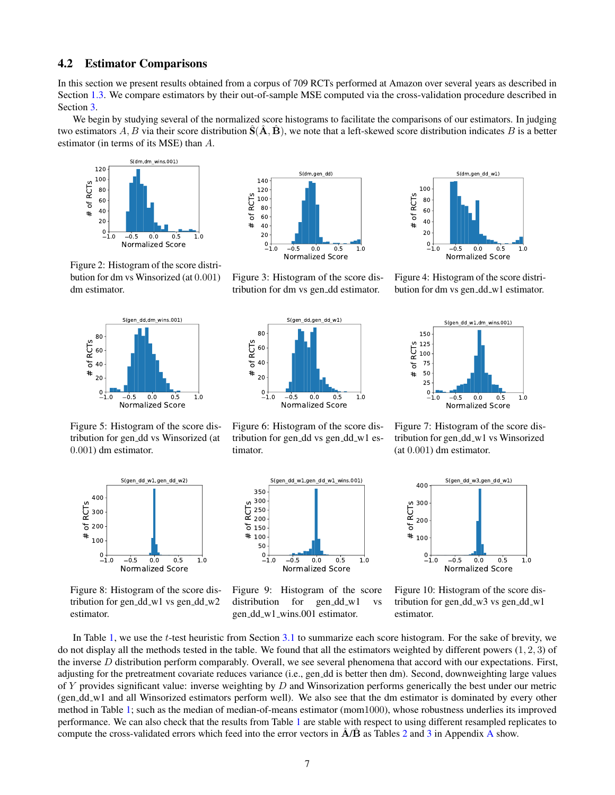### 4.2 Estimator Comparisons

In this section we present results obtained from a corpus of 709 RCTs performed at Amazon over several years as described in Section [1.3.](#page-2-2) We compare estimators by their out-of-sample MSE computed via the cross-validation procedure described in Section [3.](#page-3-4)

We begin by studying several of the normalized score histograms to facilitate the comparisons of our estimators. In judging two estimators A, B via their score distribution  $\hat{S}(\hat{A}, \hat{B})$ , we note that a left-skewed score distribution indicates B is a better estimator (in terms of its MSE) than A.



Figure 2: Histogram of the score distribution for dm vs Winsorized (at 0.001) dm estimator.



Figure 5: Histogram of the score distribution for gen dd vs Winsorized (at 0.001) dm estimator.



Figure 3: Histogram of the score distribution for dm vs gen dd estimator.



Figure 6: Histogram of the score distribution for gen\_dd vs gen\_dd\_w1 estimator.

S(gen\_dd\_w1,gen\_dd\_w1\_wins.001)



Figure 4: Histogram of the score distribution for dm vs gen\_dd\_w1 estimator.



Figure 7: Histogram of the score distribution for gen\_dd\_w1 vs Winsorized (at 0.001) dm estimator.



Figure 8: Histogram of the score distribution for gen\_dd\_w1 vs gen\_dd\_w2 estimator.



Figure 9: Histogram of the score distribution for  $gen_d d_w1$  vs gen dd w1 wins.001 estimator.



Figure 10: Histogram of the score distribution for gen\_dd\_w3 vs gen\_dd\_w1 estimator.

In Table [1,](#page-7-0) we use the t-test heuristic from Section [3.1](#page-4-4) to summarize each score histogram. For the sake of brevity, we do not display all the methods tested in the table. We found that all the estimators weighted by different powers  $(1, 2, 3)$  of the inverse D distribution perform comparably. Overall, we see several phenomena that accord with our expectations. First, adjusting for the pretreatment covariate reduces variance (i.e., gen\_dd is better then dm). Second, downweighting large values of Y provides significant value: inverse weighting by D and Winsorization performs generically the best under our metric (gen dd w1 and all Winsorized estimators perform well). We also see that the dm estimator is dominated by every other method in Table [1;](#page-7-0) such as the median of median-of-means estimator (mom1000), whose robustness underlies its improved performance. We can also check that the results from Table [1](#page-7-0) are stable with respect to using different resampled replicates to compute the cross-validated errors which feed into the error vectors in  $\hat{A}/\hat{B}$  $\hat{A}/\hat{B}$  $\hat{A}/\hat{B}$  as Tables [2](#page-9-0) and [3](#page-9-1) in Appendix A show.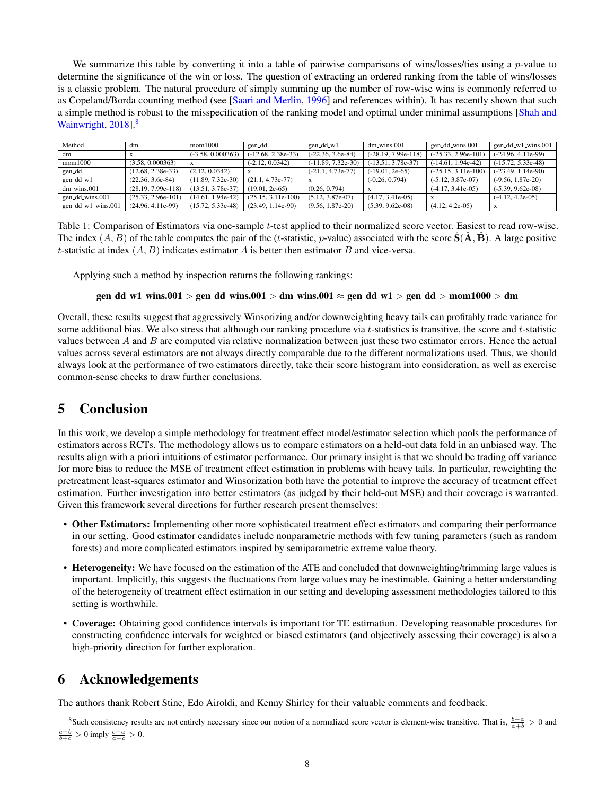We summarize this table by converting it into a table of pairwise comparisons of wins/losses/ties using a  $p$ -value to determine the significance of the win or loss. The question of extracting an ordered ranking from the table of wins/losses is a classic problem. The natural procedure of simply summing up the number of row-wise wins is commonly referred to as Copeland/Borda counting method (see [\[Saari and Merlin,](#page-8-19) [1996\]](#page-8-19) and references within). It has recently shown that such a simple method is robust to the misspecification of the ranking model and optimal under minimal assumptions [\[Shah and](#page-8-20) [Wainwright,](#page-8-20) [2018\]](#page-8-20).<sup>[8](#page-7-1)</sup>

<span id="page-7-0"></span>

| Method               | dm                   | mom1000             | gen_dd               | gen_dd_w1            | $dm_wins.001$         | gen_dd_wins.001       | gen_dd_w1_wins.001   |
|----------------------|----------------------|---------------------|----------------------|----------------------|-----------------------|-----------------------|----------------------|
| dm                   |                      | $(-3.58, 0.000363)$ | $(-12.68, 2.38e-33)$ | $(-22.36, 3.6e-84)$  | $(-28.19, 7.99e-118)$ | $(-25.33, 2.96e-101)$ | $(-24.96, 4.11e-99)$ |
| mom1000              | (3.58, 0.000363)     | $\mathbf{x}$        | $(-2.12, 0.0342)$    | $(-11.89, 7.32e-30)$ | $(-13.51, 3.78e-37)$  | $(-14.61, 1.94e-42)$  | $(-15.72, 5.33e-48)$ |
| gen_dd               | $(12.68, 2.38e-33)$  | (2.12, 0.0342)      |                      | $(-21.1, 4.73e-77)$  | $(-19.01, 2e-65)$     | $(-25.15, 3.11e-100)$ | $(-23.49, 1.14e-90)$ |
| $gen_d d_w1$         | $(22.36, 3.6e-84)$   | $(11.89, 7.32e-30)$ | $(21.1, 4.73e-77)$   |                      | $(-0.26, 0.794)$      | $(-5.12, 3.87e-07)$   | $(-9.56, 1.87e-20)$  |
| $dm_wins.001$        | $(28.19, 7.99e-118)$ | $(13.51, 3.78e-37)$ | $(19.01, 2e-65)$     | (0.26, 0.794)        |                       | $(-4.17, 3.41e-05)$   | $(-5.39, 9.62e-08)$  |
| gen_dd_wins.001      | $(25.33, 2.96e-101)$ | $(14.61, 1.94e-42)$ | $(25.15, 3.11e-100)$ | $(5.12, 3.87e-07)$   | $(4.17, 3.41e-05)$    |                       | $(-4.12, 4.2e-05)$   |
| $gen_dd_w1_wins.001$ | $(24.96, 4.11e-99)$  | $(15.72, 5.33e-48)$ | $(23.49, 1.14e-90)$  | $(9.56, 1.87e-20)$   | $(5.39, 9.62e-08)$    | $(4.12, 4.2e-05)$     |                      |

Table 1: Comparison of Estimators via one-sample t-test applied to their normalized score vector. Easiest to read row-wise. The index  $(A, B)$  of the table computes the pair of the (t-statistic, p-value) associated with the score  $S(\overline{A}, \overline{B})$ . A large positive t-statistic at index  $(A, B)$  indicates estimator A is better then estimator B and vice-versa.

Applying such a method by inspection returns the following rankings:

### gen\_dd\_w1\_wins.001 > gen\_dd\_wins.001 > dm\_wins.001  $\approx$  gen\_dd\_w1 > gen\_dd > mom1000 > dm

Overall, these results suggest that aggressively Winsorizing and/or downweighting heavy tails can profitably trade variance for some additional bias. We also stress that although our ranking procedure via  $t$ -statistics is transitive, the score and  $t$ -statistic values between  $A$  and  $B$  are computed via relative normalization between just these two estimator errors. Hence the actual values across several estimators are not always directly comparable due to the different normalizations used. Thus, we should always look at the performance of two estimators directly, take their score histogram into consideration, as well as exercise common-sense checks to draw further conclusions.

# 5 Conclusion

In this work, we develop a simple methodology for treatment effect model/estimator selection which pools the performance of estimators across RCTs. The methodology allows us to compare estimators on a held-out data fold in an unbiased way. The results align with a priori intuitions of estimator performance. Our primary insight is that we should be trading off variance for more bias to reduce the MSE of treatment effect estimation in problems with heavy tails. In particular, reweighting the pretreatment least-squares estimator and Winsorization both have the potential to improve the accuracy of treatment effect estimation. Further investigation into better estimators (as judged by their held-out MSE) and their coverage is warranted. Given this framework several directions for further research present themselves:

- Other Estimators: Implementing other more sophisticated treatment effect estimators and comparing their performance in our setting. Good estimator candidates include nonparametric methods with few tuning parameters (such as random forests) and more complicated estimators inspired by semiparametric extreme value theory.
- Heterogeneity: We have focused on the estimation of the ATE and concluded that downweighting/trimming large values is important. Implicitly, this suggests the fluctuations from large values may be inestimable. Gaining a better understanding of the heterogeneity of treatment effect estimation in our setting and developing assessment methodologies tailored to this setting is worthwhile.
- Coverage: Obtaining good confidence intervals is important for TE estimation. Developing reasonable procedures for constructing confidence intervals for weighted or biased estimators (and objectively assessing their coverage) is also a high-priority direction for further exploration.

# 6 Acknowledgements

The authors thank Robert Stine, Edo Airoldi, and Kenny Shirley for their valuable comments and feedback.

<span id="page-7-1"></span><sup>&</sup>lt;sup>8</sup>Such consistency results are not entirely necessary since our notion of a normalized score vector is element-wise transitive. That is,  $\frac{b-a}{a+b} > 0$  and  $\frac{c-b}{b+c} > 0$  imply  $\frac{c-a}{a+c} > 0$ .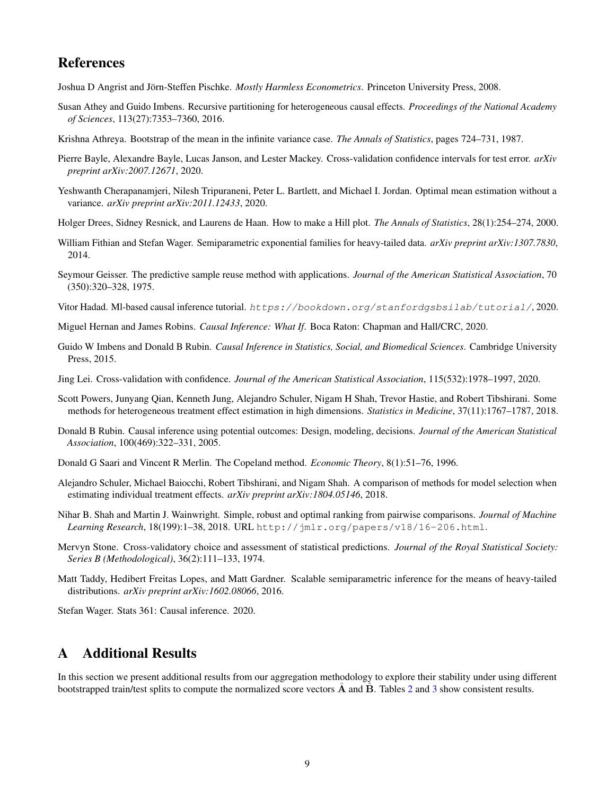# References

<span id="page-8-2"></span>Joshua D Angrist and Jörn-Steffen Pischke. Mostly Harmless Econometrics. Princeton University Press, 2008.

- <span id="page-8-10"></span>Susan Athey and Guido Imbens. Recursive partitioning for heterogeneous causal effects. *Proceedings of the National Academy of Sciences*, 113(27):7353–7360, 2016.
- <span id="page-8-16"></span>Krishna Athreya. Bootstrap of the mean in the infinite variance case. *The Annals of Statistics*, pages 724–731, 1987.
- <span id="page-8-6"></span>Pierre Bayle, Alexandre Bayle, Lucas Janson, and Lester Mackey. Cross-validation confidence intervals for test error. *arXiv preprint arXiv:2007.12671*, 2020.
- <span id="page-8-17"></span>Yeshwanth Cherapanamjeri, Nilesh Tripuraneni, Peter L. Bartlett, and Michael I. Jordan. Optimal mean estimation without a variance. *arXiv preprint arXiv:2011.12433*, 2020.
- <span id="page-8-15"></span>Holger Drees, Sidney Resnick, and Laurens de Haan. How to make a Hill plot. *The Annals of Statistics*, 28(1):254–274, 2000.
- <span id="page-8-13"></span>William Fithian and Stefan Wager. Semiparametric exponential families for heavy-tailed data. *arXiv preprint arXiv:1307.7830*, 2014.
- <span id="page-8-9"></span>Seymour Geisser. The predictive sample reuse method with applications. *Journal of the American Statistical Association*, 70 (350):320–328, 1975.
- <span id="page-8-4"></span>Vitor Hadad. Ml-based causal inference tutorial. <https://bookdown.org/stanfordgsbsilab/tutorial/>, 2020.
- <span id="page-8-0"></span>Miguel Hernan and James Robins. *Causal Inference: What If*. Boca Raton: Chapman and Hall/CRC, 2020.
- <span id="page-8-3"></span>Guido W Imbens and Donald B Rubin. *Causal Inference in Statistics, Social, and Biomedical Sciences*. Cambridge University Press, 2015.
- <span id="page-8-7"></span>Jing Lei. Cross-validation with confidence. *Journal of the American Statistical Association*, 115(532):1978–1997, 2020.
- <span id="page-8-11"></span>Scott Powers, Junyang Qian, Kenneth Jung, Alejandro Schuler, Nigam H Shah, Trevor Hastie, and Robert Tibshirani. Some methods for heterogeneous treatment effect estimation in high dimensions. *Statistics in Medicine*, 37(11):1767–1787, 2018.
- <span id="page-8-1"></span>Donald B Rubin. Causal inference using potential outcomes: Design, modeling, decisions. *Journal of the American Statistical Association*, 100(469):322–331, 2005.
- <span id="page-8-19"></span>Donald G Saari and Vincent R Merlin. The Copeland method. *Economic Theory*, 8(1):51–76, 1996.
- <span id="page-8-12"></span>Alejandro Schuler, Michael Baiocchi, Robert Tibshirani, and Nigam Shah. A comparison of methods for model selection when estimating individual treatment effects. *arXiv preprint arXiv:1804.05146*, 2018.
- <span id="page-8-20"></span>Nihar B. Shah and Martin J. Wainwright. Simple, robust and optimal ranking from pairwise comparisons. *Journal of Machine Learning Research*, 18(199):1–38, 2018. URL <http://jmlr.org/papers/v18/16-206.html>.
- <span id="page-8-8"></span>Mervyn Stone. Cross-validatory choice and assessment of statistical predictions. *Journal of the Royal Statistical Society: Series B (Methodological)*, 36(2):111–133, 1974.
- <span id="page-8-14"></span>Matt Taddy, Hedibert Freitas Lopes, and Matt Gardner. Scalable semiparametric inference for the means of heavy-tailed distributions. *arXiv preprint arXiv:1602.08066*, 2016.

<span id="page-8-5"></span>Stefan Wager. Stats 361: Causal inference. 2020.

# <span id="page-8-18"></span>A Additional Results

In this section we present additional results from our aggregation methodology to explore their stability under using different bootstrapped train/test splits to compute the normalized score vectors  $A$  and  $B$ . Tables [2](#page-9-0) and [3](#page-9-1) show consistent results.